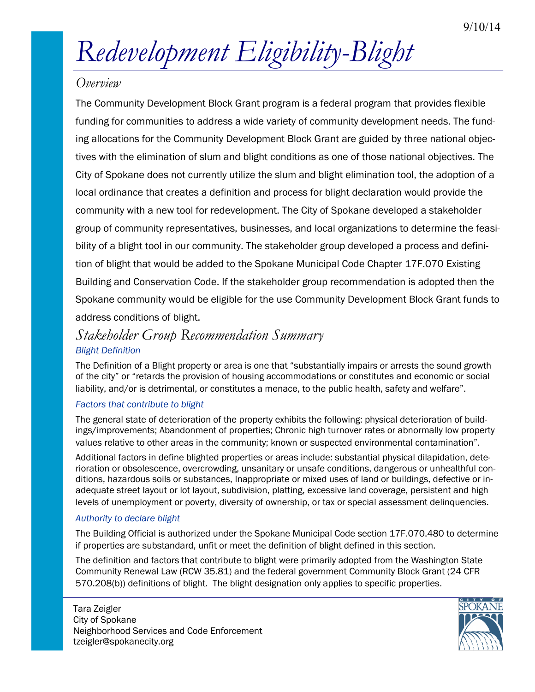# *Redevelopment Eligibility-Blight*

# *Overview*

The Community Development Block Grant program is a federal program that provides flexible funding for communities to address a wide variety of community development needs. The funding allocations for the Community Development Block Grant are guided by three national objectives with the elimination of slum and blight conditions as one of those national objectives. The City of Spokane does not currently utilize the slum and blight elimination tool, the adoption of a local ordinance that creates a definition and process for blight declaration would provide the community with a new tool for redevelopment. The City of Spokane developed a stakeholder group of community representatives, businesses, and local organizations to determine the feasibility of a blight tool in our community. The stakeholder group developed a process and definition of blight that would be added to the Spokane Municipal Code Chapter 17F.070 Existing Building and Conservation Code. If the stakeholder group recommendation is adopted then the Spokane community would be eligible for the use Community Development Block Grant funds to address conditions of blight.

# *Stakeholder Group Recommendation Summary Blight Definition*

The Definition of a Blight property or area is one that "substantially impairs or arrests the sound growth of the city" or "retards the provision of housing accommodations or constitutes and economic or social liability, and/or is detrimental, or constitutes a menace, to the public health, safety and welfare".

### *Factors that contribute to blight*

The general state of deterioration of the property exhibits the following: physical deterioration of buildings/improvements; Abandonment of properties; Chronic high turnover rates or abnormally low property values relative to other areas in the community; known or suspected environmental contamination".

Additional factors in define blighted properties or areas include: substantial physical dilapidation, deterioration or obsolescence, overcrowding, unsanitary or unsafe conditions, dangerous or unhealthful conditions, hazardous soils or substances, Inappropriate or mixed uses of land or buildings, defective or inadequate street layout or lot layout, subdivision, platting, excessive land coverage, persistent and high levels of unemployment or poverty, diversity of ownership, or tax or special assessment delinquencies.

### *Authority to declare blight*

The Building Official is authorized under the Spokane Municipal Code section 17F.070.480 to determine if properties are substandard, unfit or meet the definition of blight defined in this section.

The definition and factors that contribute to blight were primarily adopted from the Washington State Community Renewal Law (RCW 35.81) and the federal government Community Block Grant (24 CFR 570.208(b)) definitions of blight. The blight designation only applies to specific properties.